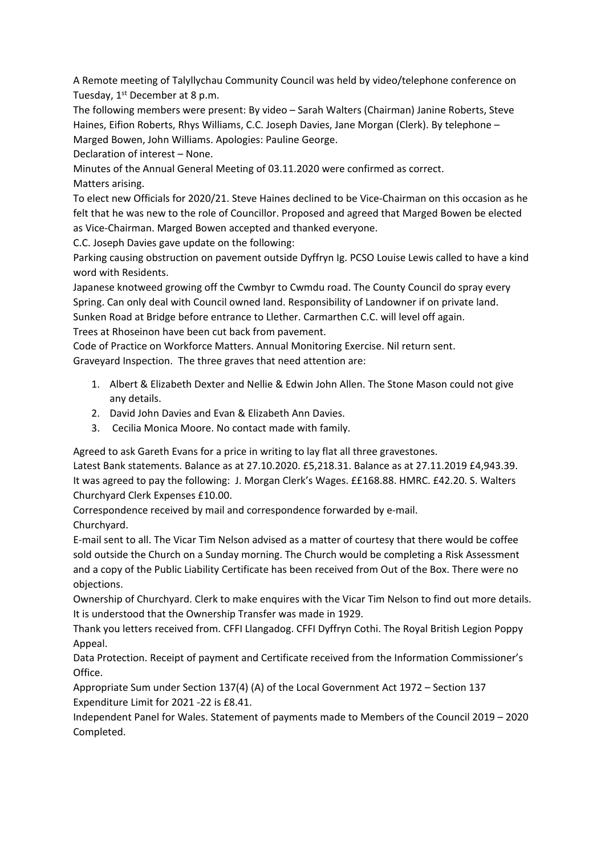A Remote meeting of Talyllychau Community Council was held by video/telephone conference on Tuesday, 1<sup>st</sup> December at 8 p.m.

The following members were present: By video – Sarah Walters (Chairman) Janine Roberts, Steve Haines, Eifion Roberts, Rhys Williams, C.C. Joseph Davies, Jane Morgan (Clerk). By telephone – Marged Bowen, John Williams. Apologies: Pauline George.

Declaration of interest – None.

Minutes of the Annual General Meeting of 03.11.2020 were confirmed as correct. Matters arising.

To elect new Officials for 2020/21. Steve Haines declined to be Vice-Chairman on this occasion as he felt that he was new to the role of Councillor. Proposed and agreed that Marged Bowen be elected as Vice-Chairman. Marged Bowen accepted and thanked everyone.

C.C. Joseph Davies gave update on the following:

Parking causing obstruction on pavement outside Dyffryn Ig. PCSO Louise Lewis called to have a kind word with Residents.

Japanese knotweed growing off the Cwmbyr to Cwmdu road. The County Council do spray every Spring. Can only deal with Council owned land. Responsibility of Landowner if on private land. Sunken Road at Bridge before entrance to Llether. Carmarthen C.C. will level off again.

Trees at Rhoseinon have been cut back from pavement.

Code of Practice on Workforce Matters. Annual Monitoring Exercise. Nil return sent. Graveyard Inspection. The three graves that need attention are:

- 1. Albert & Elizabeth Dexter and Nellie & Edwin John Allen. The Stone Mason could not give any details.
- 2. David John Davies and Evan & Elizabeth Ann Davies.
- 3. Cecilia Monica Moore. No contact made with family.

Agreed to ask Gareth Evans for a price in writing to lay flat all three gravestones.

Latest Bank statements. Balance as at 27.10.2020. £5,218.31. Balance as at 27.11.2019 £4,943.39. It was agreed to pay the following: J. Morgan Clerk's Wages. ££168.88. HMRC. £42.20. S. Walters Churchyard Clerk Expenses £10.00.

Correspondence received by mail and correspondence forwarded by e-mail. Churchyard.

E-mail sent to all. The Vicar Tim Nelson advised as a matter of courtesy that there would be coffee sold outside the Church on a Sunday morning. The Church would be completing a Risk Assessment and a copy of the Public Liability Certificate has been received from Out of the Box. There were no objections.

Ownership of Churchyard. Clerk to make enquires with the Vicar Tim Nelson to find out more details. It is understood that the Ownership Transfer was made in 1929.

Thank you letters received from. CFFI Llangadog. CFFI Dyffryn Cothi. The Royal British Legion Poppy Appeal.

Data Protection. Receipt of payment and Certificate received from the Information Commissioner's Office.

Appropriate Sum under Section 137(4) (A) of the Local Government Act 1972 – Section 137 Expenditure Limit for 2021 -22 is £8.41.

Independent Panel for Wales. Statement of payments made to Members of the Council 2019 – 2020 Completed.